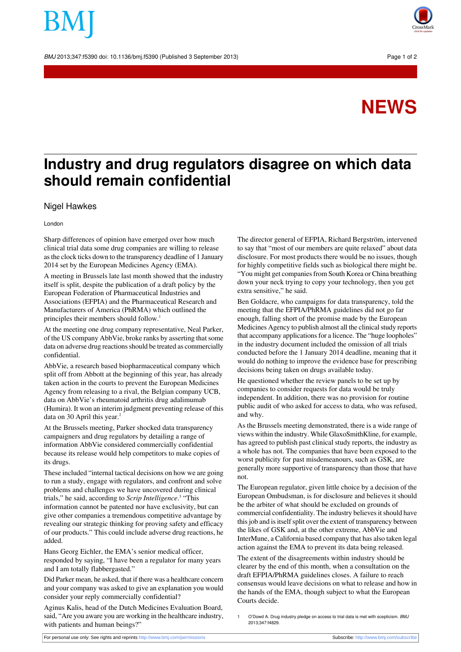BMJ 2013;347:f5390 doi: 10.1136/bmj.f5390 (Published 3 September 2013) Page 1 of 2



## **NEWS**

## **Industry and drug regulators disagree on which data should remain confidential**

## Nigel Hawkes

London

Sharp differences of opinion have emerged over how much clinical trial data some drug companies are willing to release asthe clock ticks down to the transparency deadline of 1 January 2014 set by the European Medicines Agency (EMA).

A meeting in Brussels late last month showed that the industry itself is split, despite the publication of a draft policy by the European Federation of Pharmaceutical Industries and Associations (EFPIA) and the Pharmaceutical Research and Manufacturers of America (PhRMA) which outlined the principles their members should follow.<sup>1</sup>

At the meeting one drug company representative, Neal Parker, of the US company AbbVie, broke ranks by asserting that some data on adverse drug reactions should be treated as commercially confidential.

AbbVie, a research based biopharmaceutical company which split off from Abbott at the beginning of this year, has already taken action in the courts to prevent the European Medicines Agency from releasing to a rival, the Belgian company UCB, data on AbbVie's rheumatoid arthritis drug adalimumab (Humira). It won an interim judgment preventing release of this data on 30 April this year.<sup>2</sup>

At the Brussels meeting, Parker shocked data transparency campaigners and drug regulators by detailing a range of information AbbVie considered commercially confidential because its release would help competitors to make copies of its drugs.

These included "internal tactical decisions on how we are going to run a study, engage with regulators, and confront and solve problems and challenges we have uncovered during clinical trials," he said, according to *Scrip Intelligence*. 3 "This information cannot be patented nor have exclusivity, but can give other companies a tremendous competitive advantage by revealing our strategic thinking for proving safety and efficacy of our products." This could include adverse drug reactions, he added.

Hans Georg Eichler, the EMA's senior medical officer, responded by saying, "I have been a regulator for many years and I am totally flabbergasted."

Did Parker mean, he asked, that if there was a healthcare concern and your company was asked to give an explanation you would consider your reply commercially confidential?

Aginus Kalis, head of the Dutch Medicines Evaluation Board, said, "Are you aware you are working in the healthcare industry, with patients and human beings?"

The director general of EFPIA, Richard Bergström, intervened to say that "most of our members are quite relaxed" about data disclosure. For most products there would be no issues, though for highly competitive fields such as biological there might be. "You might get companies from South Korea or China breathing down your neck trying to copy your technology, then you get extra sensitive," he said.

Ben Goldacre, who campaigns for data transparency, told the meeting that the EFPIA/PhRMA guidelines did not go far enough, falling short of the promise made by the European Medicines Agency to publish almost all the clinical study reports that accompany applications for a licence. The "huge loopholes" in the industry document included the omission of all trials conducted before the 1 January 2014 deadline, meaning that it would do nothing to improve the evidence base for prescribing decisions being taken on drugs available today.

He questioned whether the review panels to be set up by companies to consider requests for data would be truly independent. In addition, there was no provision for routine public audit of who asked for access to data, who was refused, and why.

As the Brussels meeting demonstrated, there is a wide range of views within the industry. While GlaxoSmithKline, for example, has agreed to publish past clinical study reports, the industry as a whole has not. The companies that have been exposed to the worst publicity for past misdemeanours, such as GSK, are generally more supportive of transparency than those that have not.

The European regulator, given little choice by a decision of the European Ombudsman, is for disclosure and believes it should be the arbiter of what should be excluded on grounds of commercial confidentiality. The industry believes it should have this job and is itself split over the extent of transparency between the likes of GSK and, at the other extreme, AbbVie and InterMune, a California based company that has also taken legal action against the EMA to prevent its data being released.

The extent of the disagreements within industry should be clearer by the end of this month, when a consultation on the draft EFPIA/PhRMA guidelines closes. A failure to reach consensus would leave decisions on what to release and how in the hands of the EMA, though subject to what the European Courts decide.

O'Dowd A. Drug industry pledge on access to trial data is met with scepticism. BMJ 2013;347:f4829.